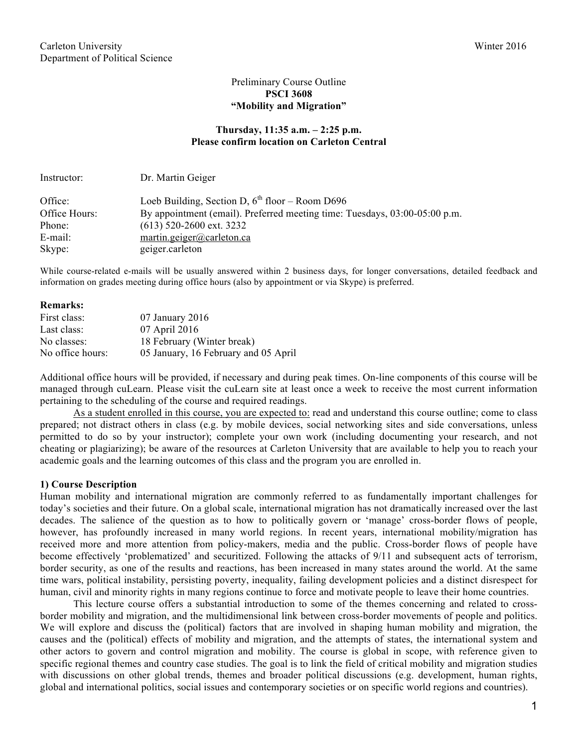# Preliminary Course Outline **PSCI 3608 "Mobility and Migration"**

## **Thursday, 11:35 a.m. – 2:25 p.m. Please confirm location on Carleton Central**

| Instructor:   | Dr. Martin Geiger                                                          |
|---------------|----------------------------------------------------------------------------|
| Office:       | Loeb Building, Section D, $6^{th}$ floor – Room D696                       |
| Office Hours: | By appointment (email). Preferred meeting time: Tuesdays, 03:00-05:00 p.m. |
| Phone:        | $(613)$ 520-2600 ext. 3232                                                 |
| E-mail:       | martin.geiger@carleton.ca                                                  |
| Skype:        | geiger.carleton                                                            |

While course-related e-mails will be usually answered within 2 business days, for longer conversations, detailed feedback and information on grades meeting during office hours (also by appointment or via Skype) is preferred.

#### **Remarks:**

| First class:     | $07$ January $2016$                  |
|------------------|--------------------------------------|
| Last class:      | 07 April 2016                        |
| No classes:      | 18 February (Winter break)           |
| No office hours: | 05 January, 16 February and 05 April |

Additional office hours will be provided, if necessary and during peak times. On-line components of this course will be managed through cuLearn. Please visit the cuLearn site at least once a week to receive the most current information pertaining to the scheduling of the course and required readings.

As a student enrolled in this course, you are expected to: read and understand this course outline; come to class prepared; not distract others in class (e.g. by mobile devices, social networking sites and side conversations, unless permitted to do so by your instructor); complete your own work (including documenting your research, and not cheating or plagiarizing); be aware of the resources at Carleton University that are available to help you to reach your academic goals and the learning outcomes of this class and the program you are enrolled in.

## **1) Course Description**

Human mobility and international migration are commonly referred to as fundamentally important challenges for today's societies and their future. On a global scale, international migration has not dramatically increased over the last decades. The salience of the question as to how to politically govern or 'manage' cross-border flows of people, however, has profoundly increased in many world regions. In recent years, international mobility/migration has received more and more attention from policy-makers, media and the public. Cross-border flows of people have become effectively 'problematized' and securitized. Following the attacks of 9/11 and subsequent acts of terrorism, border security, as one of the results and reactions, has been increased in many states around the world. At the same time wars, political instability, persisting poverty, inequality, failing development policies and a distinct disrespect for human, civil and minority rights in many regions continue to force and motivate people to leave their home countries.

This lecture course offers a substantial introduction to some of the themes concerning and related to crossborder mobility and migration, and the multidimensional link between cross-border movements of people and politics. We will explore and discuss the (political) factors that are involved in shaping human mobility and migration, the causes and the (political) effects of mobility and migration, and the attempts of states, the international system and other actors to govern and control migration and mobility. The course is global in scope, with reference given to specific regional themes and country case studies. The goal is to link the field of critical mobility and migration studies with discussions on other global trends, themes and broader political discussions (e.g. development, human rights, global and international politics, social issues and contemporary societies or on specific world regions and countries).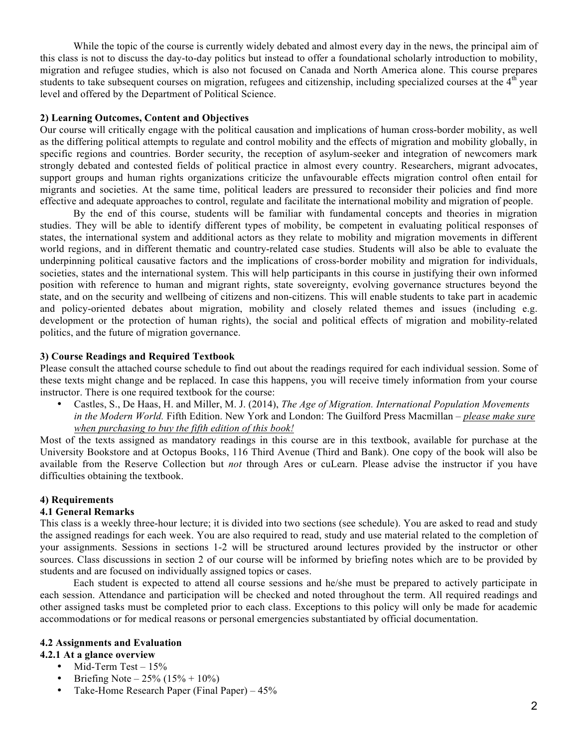While the topic of the course is currently widely debated and almost every day in the news, the principal aim of this class is not to discuss the day-to-day politics but instead to offer a foundational scholarly introduction to mobility, migration and refugee studies, which is also not focused on Canada and North America alone. This course prepares students to take subsequent courses on migration, refugees and citizenship, including specialized courses at the  $4<sup>th</sup>$  year level and offered by the Department of Political Science.

## **2) Learning Outcomes, Content and Objectives**

Our course will critically engage with the political causation and implications of human cross-border mobility, as well as the differing political attempts to regulate and control mobility and the effects of migration and mobility globally, in specific regions and countries. Border security, the reception of asylum-seeker and integration of newcomers mark strongly debated and contested fields of political practice in almost every country. Researchers, migrant advocates, support groups and human rights organizations criticize the unfavourable effects migration control often entail for migrants and societies. At the same time, political leaders are pressured to reconsider their policies and find more effective and adequate approaches to control, regulate and facilitate the international mobility and migration of people.

By the end of this course, students will be familiar with fundamental concepts and theories in migration studies. They will be able to identify different types of mobility, be competent in evaluating political responses of states, the international system and additional actors as they relate to mobility and migration movements in different world regions, and in different thematic and country-related case studies. Students will also be able to evaluate the underpinning political causative factors and the implications of cross-border mobility and migration for individuals, societies, states and the international system. This will help participants in this course in justifying their own informed position with reference to human and migrant rights, state sovereignty, evolving governance structures beyond the state, and on the security and wellbeing of citizens and non-citizens. This will enable students to take part in academic and policy-oriented debates about migration, mobility and closely related themes and issues (including e.g. development or the protection of human rights), the social and political effects of migration and mobility-related politics, and the future of migration governance.

#### **3) Course Readings and Required Textbook**

Please consult the attached course schedule to find out about the readings required for each individual session. Some of these texts might change and be replaced. In case this happens, you will receive timely information from your course instructor. There is one required textbook for the course:

• Castles, S., De Haas, H. and Miller, M. J. (2014), *The Age of Migration. International Population Movements in the Modern World.* Fifth Edition. New York and London: The Guilford Press Macmillan *– please make sure when purchasing to buy the fifth edition of this book!*

Most of the texts assigned as mandatory readings in this course are in this textbook, available for purchase at the University Bookstore and at Octopus Books, 116 Third Avenue (Third and Bank). One copy of the book will also be available from the Reserve Collection but *not* through Ares or cuLearn. Please advise the instructor if you have difficulties obtaining the textbook.

## **4) Requirements**

## **4.1 General Remarks**

This class is a weekly three-hour lecture; it is divided into two sections (see schedule). You are asked to read and study the assigned readings for each week. You are also required to read, study and use material related to the completion of your assignments. Sessions in sections 1-2 will be structured around lectures provided by the instructor or other sources. Class discussions in section 2 of our course will be informed by briefing notes which are to be provided by students and are focused on individually assigned topics or cases.

Each student is expected to attend all course sessions and he/she must be prepared to actively participate in each session. Attendance and participation will be checked and noted throughout the term. All required readings and other assigned tasks must be completed prior to each class. Exceptions to this policy will only be made for academic accommodations or for medical reasons or personal emergencies substantiated by official documentation.

## **4.2 Assignments and Evaluation**

## **4.2.1 At a glance overview**

- Mid-Term Test  $-15%$
- Briefing Note  $25\% (15\% + 10\%)$
- Take-Home Research Paper (Final Paper) 45%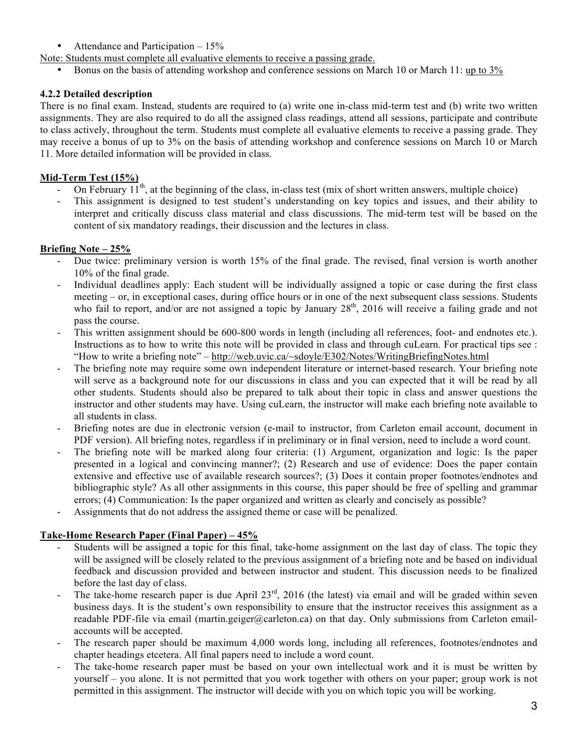- Attendance and Participation 15%
- Note: Students must complete all evaluative elements to receive a passing grade.
	- Bonus on the basis of attending workshop and conference sessions on March 10 or March 11: up to 3%

# **4.2.2 Detailed description**

There is no final exam. Instead, students are required to (a) write one in-class mid-term test and (b) write two written assignments. They are also required to do all the assigned class readings, attend all sessions, participate and contribute to class actively, throughout the term. Students must complete all evaluative elements to receive a passing grade. They may receive a bonus of up to 3% on the basis of attending workshop and conference sessions on March 10 or March 11. More detailed information will be provided in class.

# **Mid-Term Test (15%)**

- On February 11<sup>th</sup>, at the beginning of the class, in-class test (mix of short written answers, multiple choice)
- This assignment is designed to test student's understanding on key topics and issues, and their ability to interpret and critically discuss class material and class discussions. The mid-term test will be based on the content of six mandatory readings, their discussion and the lectures in class.

## **Briefing Note – 25%**

- Due twice: preliminary version is worth 15% of the final grade. The revised, final version is worth another 10% of the final grade.
- Individual deadlines apply: Each student will be individually assigned a topic or case during the first class meeting – or, in exceptional cases, during office hours or in one of the next subsequent class sessions. Students who fail to report, and/or are not assigned a topic by January 28<sup>th</sup>, 2016 will receive a failing grade and not pass the course.
- This written assignment should be 600-800 words in length (including all references, foot- and endnotes etc.). Instructions as to how to write this note will be provided in class and through cuLearn. For practical tips see : "How to write a briefing note" – http://web.uvic.ca/~sdoyle/E302/Notes/WritingBriefingNotes.html
- The briefing note may require some own independent literature or internet-based research. Your briefing note will serve as a background note for our discussions in class and you can expected that it will be read by all other students. Students should also be prepared to talk about their topic in class and answer questions the instructor and other students may have. Using cuLearn, the instructor will make each briefing note available to all students in class.
- Briefing notes are due in electronic version (e-mail to instructor, from Carleton email account, document in PDF version). All briefing notes, regardless if in preliminary or in final version, need to include a word count.
- The briefing note will be marked along four criteria: (1) Argument, organization and logic: Is the paper presented in a logical and convincing manner?; (2) Research and use of evidence: Does the paper contain extensive and effective use of available research sources?; (3) Does it contain proper footnotes/endnotes and bibliographic style? As all other assignments in this course, this paper should be free of spelling and grammar errors; (4) Communication: Is the paper organized and written as clearly and concisely as possible?
- Assignments that do not address the assigned theme or case will be penalized.

# **Take-Home Research Paper (Final Paper) – 45%**

- Students will be assigned a topic for this final, take-home assignment on the last day of class. The topic they will be assigned will be closely related to the previous assignment of a briefing note and be based on individual feedback and discussion provided and between instructor and student. This discussion needs to be finalized before the last day of class.
- The take-home research paper is due April  $23<sup>rd</sup>$ , 2016 (the latest) via email and will be graded within seven business days. It is the student's own responsibility to ensure that the instructor receives this assignment as a readable PDF-file via email (martin.geiger@carleton.ca) on that day. Only submissions from Carleton emailaccounts will be accepted.
- The research paper should be maximum 4,000 words long, including all references, footnotes/endnotes and chapter headings etcetera. All final papers need to include a word count.
- The take-home research paper must be based on your own intellectual work and it is must be written by yourself – you alone. It is not permitted that you work together with others on your paper; group work is not permitted in this assignment. The instructor will decide with you on which topic you will be working.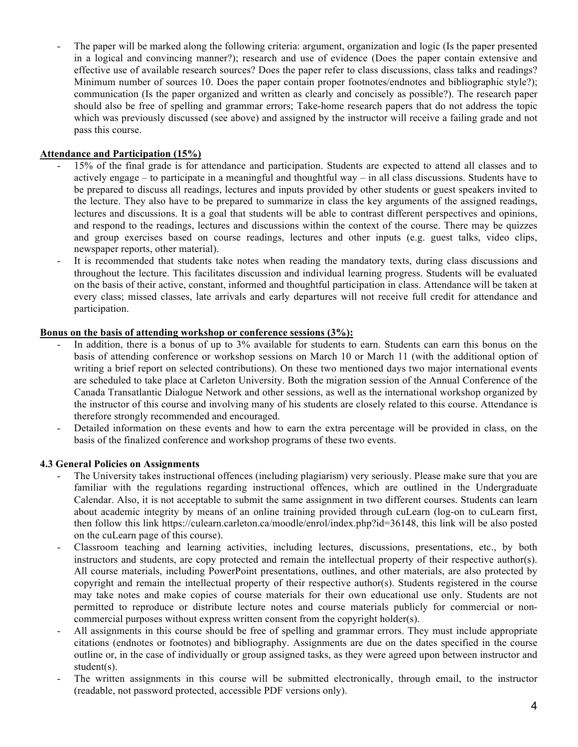The paper will be marked along the following criteria: argument, organization and logic (Is the paper presented in a logical and convincing manner?); research and use of evidence (Does the paper contain extensive and effective use of available research sources? Does the paper refer to class discussions, class talks and readings? Minimum number of sources 10. Does the paper contain proper footnotes/endnotes and bibliographic style?); communication (Is the paper organized and written as clearly and concisely as possible?). The research paper should also be free of spelling and grammar errors; Take-home research papers that do not address the topic which was previously discussed (see above) and assigned by the instructor will receive a failing grade and not pass this course.

# **Attendance and Participation (15%)**

- 15% of the final grade is for attendance and participation. Students are expected to attend all classes and to actively engage – to participate in a meaningful and thoughtful way – in all class discussions. Students have to be prepared to discuss all readings, lectures and inputs provided by other students or guest speakers invited to the lecture. They also have to be prepared to summarize in class the key arguments of the assigned readings, lectures and discussions. It is a goal that students will be able to contrast different perspectives and opinions, and respond to the readings, lectures and discussions within the context of the course. There may be quizzes and group exercises based on course readings, lectures and other inputs (e.g. guest talks, video clips, newspaper reports, other material).
- It is recommended that students take notes when reading the mandatory texts, during class discussions and throughout the lecture. This facilitates discussion and individual learning progress. Students will be evaluated on the basis of their active, constant, informed and thoughtful participation in class. Attendance will be taken at every class; missed classes, late arrivals and early departures will not receive full credit for attendance and participation.

# **Bonus on the basis of attending workshop or conference sessions (3%):**

- In addition, there is a bonus of up to 3% available for students to earn. Students can earn this bonus on the basis of attending conference or workshop sessions on March 10 or March 11 (with the additional option of writing a brief report on selected contributions). On these two mentioned days two major international events are scheduled to take place at Carleton University. Both the migration session of the Annual Conference of the Canada Transatlantic Dialogue Network and other sessions, as well as the international workshop organized by the instructor of this course and involving many of his students are closely related to this course. Attendance is therefore strongly recommended and encouraged.
- Detailed information on these events and how to earn the extra percentage will be provided in class, on the basis of the finalized conference and workshop programs of these two events.

## **4.3 General Policies on Assignments**

- The University takes instructional offences (including plagiarism) very seriously. Please make sure that you are familiar with the regulations regarding instructional offences, which are outlined in the Undergraduate Calendar. Also, it is not acceptable to submit the same assignment in two different courses. Students can learn about academic integrity by means of an online training provided through cuLearn (log-on to cuLearn first, then follow this link https://culearn.carleton.ca/moodle/enrol/index.php?id=36148, this link will be also posted on the cuLearn page of this course).
- Classroom teaching and learning activities, including lectures, discussions, presentations, etc., by both instructors and students, are copy protected and remain the intellectual property of their respective author(s). All course materials, including PowerPoint presentations, outlines, and other materials, are also protected by copyright and remain the intellectual property of their respective author(s). Students registered in the course may take notes and make copies of course materials for their own educational use only. Students are not permitted to reproduce or distribute lecture notes and course materials publicly for commercial or noncommercial purposes without express written consent from the copyright holder(s).
- All assignments in this course should be free of spelling and grammar errors. They must include appropriate citations (endnotes or footnotes) and bibliography. Assignments are due on the dates specified in the course outline or, in the case of individually or group assigned tasks, as they were agreed upon between instructor and student(s).
- The written assignments in this course will be submitted electronically, through email, to the instructor (readable, not password protected, accessible PDF versions only).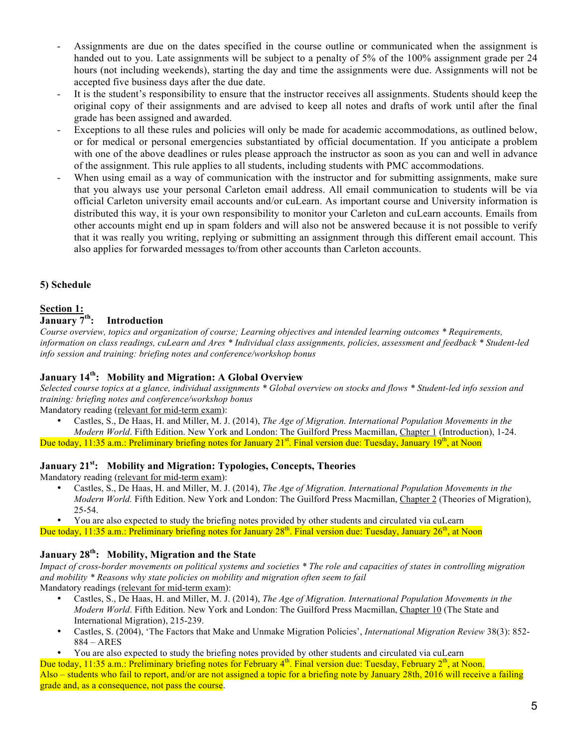- Assignments are due on the dates specified in the course outline or communicated when the assignment is handed out to you. Late assignments will be subject to a penalty of 5% of the 100% assignment grade per 24 hours (not including weekends), starting the day and time the assignments were due. Assignments will not be accepted five business days after the due date.
- It is the student's responsibility to ensure that the instructor receives all assignments. Students should keep the original copy of their assignments and are advised to keep all notes and drafts of work until after the final grade has been assigned and awarded.
- Exceptions to all these rules and policies will only be made for academic accommodations, as outlined below, or for medical or personal emergencies substantiated by official documentation. If you anticipate a problem with one of the above deadlines or rules please approach the instructor as soon as you can and well in advance of the assignment. This rule applies to all students, including students with PMC accommodations.
- When using email as a way of communication with the instructor and for submitting assignments, make sure that you always use your personal Carleton email address. All email communication to students will be via official Carleton university email accounts and/or cuLearn. As important course and University information is distributed this way, it is your own responsibility to monitor your Carleton and cuLearn accounts. Emails from other accounts might end up in spam folders and will also not be answered because it is not possible to verify that it was really you writing, replying or submitting an assignment through this different email account. This also applies for forwarded messages to/from other accounts than Carleton accounts.

## **5) Schedule**

# **Section 1:**

# **January 7th: Introduction**

*Course overview, topics and organization of course; Learning objectives and intended learning outcomes \* Requirements, information on class readings, cuLearn and Ares \* Individual class assignments, policies, assessment and feedback \* Student-led info session and training: briefing notes and conference/workshop bonus*

## **January 14th: Mobility and Migration: A Global Overview**

*Selected course topics at a glance, individual assignments \* Global overview on stocks and flows \* Student-led info session and training: briefing notes and conference/workshop bonus*

Mandatory reading (relevant for mid-term exam):

• Castles, S., De Haas, H. and Miller, M. J. (2014), *The Age of Migration. International Population Movements in the Modern World*. Fifth Edition. New York and London: The Guilford Press Macmillan, Chapter 1 (Introduction), 1-24.

Due today, 11:35 a.m.: Preliminary briefing notes for January  $21^{st}$ . Final version due: Tuesday, January  $19^{th}$ , at Noon

# **January 21st: Mobility and Migration: Typologies, Concepts, Theories**

Mandatory reading (relevant for mid-term exam):

• Castles, S., De Haas, H. and Miller, M. J. (2014), *The Age of Migration. International Population Movements in the Modern World.* Fifth Edition. New York and London: The Guilford Press Macmillan, Chapter 2 (Theories of Migration), 25-54.

• You are also expected to study the briefing notes provided by other students and circulated via cuLearn Due today, 11:35 a.m.: Preliminary briefing notes for January  $28<sup>th</sup>$ . Final version due: Tuesday, January  $26<sup>th</sup>$ , at Noon

# **January 28th: Mobility, Migration and the State**

*Impact of cross-border movements on political systems and societies \* The role and capacities of states in controlling migration and mobility \* Reasons why state policies on mobility and migration often seem to fail* Mandatory readings (relevant for mid-term exam):

- Castles, S., De Haas, H. and Miller, M. J. (2014), *The Age of Migration. International Population Movements in the Modern World*. Fifth Edition. New York and London: The Guilford Press Macmillan, Chapter 10 (The State and International Migration), 215-239.
- Castles, S. (2004), 'The Factors that Make and Unmake Migration Policies', *International Migration Review* 38(3): 852- 884 – ARES
- You are also expected to study the briefing notes provided by other students and circulated via cuLearn

Due today, 11:35 a.m.: Preliminary briefing notes for February 4<sup>th</sup>. Final version due: Tuesday, February 2<sup>th</sup>, at Noon. Also – students who fail to report, and/or are not assigned a topic for a briefing note by January 28th, 2016 will receive a failing grade and, as a consequence, not pass the course.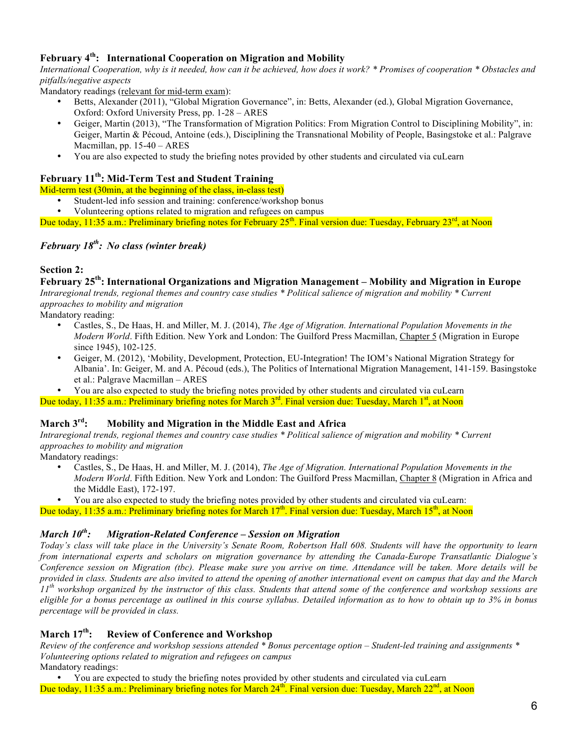# **February 4th: International Cooperation on Migration and Mobility**

*International Cooperation, why is it needed, how can it be achieved, how does it work? \* Promises of cooperation \* Obstacles and pitfalls/negative aspects*

Mandatory readings (relevant for mid-term exam):

- Betts, Alexander (2011), "Global Migration Governance", in: Betts, Alexander (ed.), Global Migration Governance, Oxford: Oxford University Press, pp. 1-28 – ARES
- Geiger, Martin (2013), "The Transformation of Migration Politics: From Migration Control to Disciplining Mobility", in: Geiger, Martin & Pécoud, Antoine (eds.), Disciplining the Transnational Mobility of People, Basingstoke et al.: Palgrave Macmillan, pp. 15-40 – ARES
- You are also expected to study the briefing notes provided by other students and circulated via cuLearn

# **February 11th: Mid-Term Test and Student Training**

Mid-term test (30min, at the beginning of the class, in-class test)

- Student-led info session and training: conference/workshop bonus<br>• Volunteering options related to migration and refugees on campus
- Volunteering options related to migration and refugees on campus

Due today, 11:35 a.m.: Preliminary briefing notes for February 25<sup>th</sup>. Final version due: Tuesday, February 23<sup>rd</sup>, at Noon

# *February 18th : No class (winter break)*

## **Section 2:**

**February 25th: International Organizations and Migration Management – Mobility and Migration in Europe** *Intraregional trends, regional themes and country case studies \* Political salience of migration and mobility \* Current approaches to mobility and migration*

Mandatory reading:

- Castles, S., De Haas, H. and Miller, M. J. (2014), *The Age of Migration. International Population Movements in the Modern World*. Fifth Edition. New York and London: The Guilford Press Macmillan, Chapter 5 (Migration in Europe since 1945), 102-125.
- Geiger, M. (2012), 'Mobility, Development, Protection, EU-Integration! The IOM's National Migration Strategy for Albania'. In: Geiger, M. and A. Pécoud (eds.), The Politics of International Migration Management, 141-159. Basingstoke et al.: Palgrave Macmillan – ARES
- You are also expected to study the briefing notes provided by other students and circulated via cuLearn

Due today, 11:35 a.m.: Preliminary briefing notes for March 3<sup>rd</sup>. Final version due: Tuesday, March 1<sup>st</sup>, at Noon

## **March 3rd: Mobility and Migration in the Middle East and Africa**

*Intraregional trends, regional themes and country case studies \* Political salience of migration and mobility \* Current approaches to mobility and migration*

Mandatory readings:

- Castles, S., De Haas, H. and Miller, M. J. (2014), *The Age of Migration. International Population Movements in the Modern World*. Fifth Edition. New York and London: The Guilford Press Macmillan, Chapter 8 (Migration in Africa and the Middle East), 172-197.
- You are also expected to study the briefing notes provided by other students and circulated via cuLearn:

Due today, 11:35 a.m.: Preliminary briefing notes for March  $17<sup>th</sup>$ . Final version due: Tuesday, March  $15<sup>th</sup>$ , at Noon

#### *March 10th : Migration-Related Conference – Session on Migration*

*Today's class will take place in the University's Senate Room, Robertson Hall 608. Students will have the opportunity to learn from international experts and scholars on migration governance by attending the Canada-Europe Transatlantic Dialogue's Conference session on Migration (tbc). Please make sure you arrive on time. Attendance will be taken. More details will be provided in class. Students are also invited to attend the opening of another international event on campus that day and the March 11th workshop organized by the instructor of this class. Students that attend some of the conference and workshop sessions are eligible for a bonus percentage as outlined in this course syllabus. Detailed information as to how to obtain up to 3% in bonus percentage will be provided in class.*

# **March 17th: Review of Conference and Workshop**

*Review of the conference and workshop sessions attended \* Bonus percentage option – Student-led training and assignments \* Volunteering options related to migration and refugees on campus* Mandatory readings:

• You are expected to study the briefing notes provided by other students and circulated via cuLearn Due today, 11:35 a.m.: Preliminary briefing notes for March  $24<sup>th</sup>$ . Final version due: Tuesday, March  $22<sup>nd</sup>$ , at Noon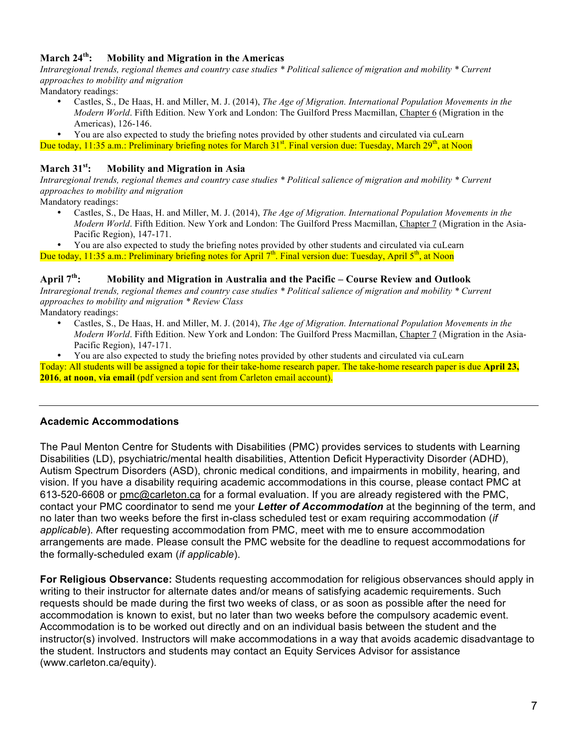# **March 24th: Mobility and Migration in the Americas**

*Intraregional trends, regional themes and country case studies \* Political salience of migration and mobility \* Current approaches to mobility and migration*

Mandatory readings:

- Castles, S., De Haas, H. and Miller, M. J. (2014), *The Age of Migration. International Population Movements in the Modern World*. Fifth Edition. New York and London: The Guilford Press Macmillan, Chapter 6 (Migration in the Americas), 126-146.
- You are also expected to study the briefing notes provided by other students and circulated via cuLearn
- Due today, 11:35 a.m.: Preliminary briefing notes for March 31<sup>st</sup>. Final version due: Tuesday, March 29<sup>th</sup>, at Noon

## **March 31st: Mobility and Migration in Asia**

*Intraregional trends, regional themes and country case studies \* Political salience of migration and mobility \* Current approaches to mobility and migration*

Mandatory readings:

• Castles, S., De Haas, H. and Miller, M. J. (2014), *The Age of Migration. International Population Movements in the Modern World*. Fifth Edition. New York and London: The Guilford Press Macmillan, Chapter 7 (Migration in the Asia-Pacific Region), 147-171.

• You are also expected to study the briefing notes provided by other students and circulated via cuLearn Due today, 11:35 a.m.: Preliminary briefing notes for April  $7<sup>th</sup>$ . Final version due: Tuesday, April  $5<sup>th</sup>$ , at Noon

## **April 7th: Mobility and Migration in Australia and the Pacific – Course Review and Outlook**

*Intraregional trends, regional themes and country case studies \* Political salience of migration and mobility \* Current approaches to mobility and migration \* Review Class*

Mandatory readings:

- Castles, S., De Haas, H. and Miller, M. J. (2014), *The Age of Migration. International Population Movements in the Modern World*. Fifth Edition. New York and London: The Guilford Press Macmillan, Chapter 7 (Migration in the Asia-Pacific Region), 147-171.
- You are also expected to study the briefing notes provided by other students and circulated via cuLearn

Today: All students will be assigned a topic for their take-home research paper. The take-home research paper is due **April 23, 2016**, **at noon**, **via email** (pdf version and sent from Carleton email account).

# **Academic Accommodations**

The Paul Menton Centre for Students with Disabilities (PMC) provides services to students with Learning Disabilities (LD), psychiatric/mental health disabilities, Attention Deficit Hyperactivity Disorder (ADHD), Autism Spectrum Disorders (ASD), chronic medical conditions, and impairments in mobility, hearing, and vision. If you have a disability requiring academic accommodations in this course, please contact PMC at 613-520-6608 or pmc@carleton.ca for a formal evaluation. If you are already registered with the PMC, contact your PMC coordinator to send me your *Letter of Accommodation* at the beginning of the term, and no later than two weeks before the first in-class scheduled test or exam requiring accommodation (*if applicable*). After requesting accommodation from PMC, meet with me to ensure accommodation arrangements are made. Please consult the PMC website for the deadline to request accommodations for the formally-scheduled exam (*if applicable*).

**For Religious Observance:** Students requesting accommodation for religious observances should apply in writing to their instructor for alternate dates and/or means of satisfying academic requirements. Such requests should be made during the first two weeks of class, or as soon as possible after the need for accommodation is known to exist, but no later than two weeks before the compulsory academic event. Accommodation is to be worked out directly and on an individual basis between the student and the instructor(s) involved. Instructors will make accommodations in a way that avoids academic disadvantage to the student. Instructors and students may contact an Equity Services Advisor for assistance (www.carleton.ca/equity).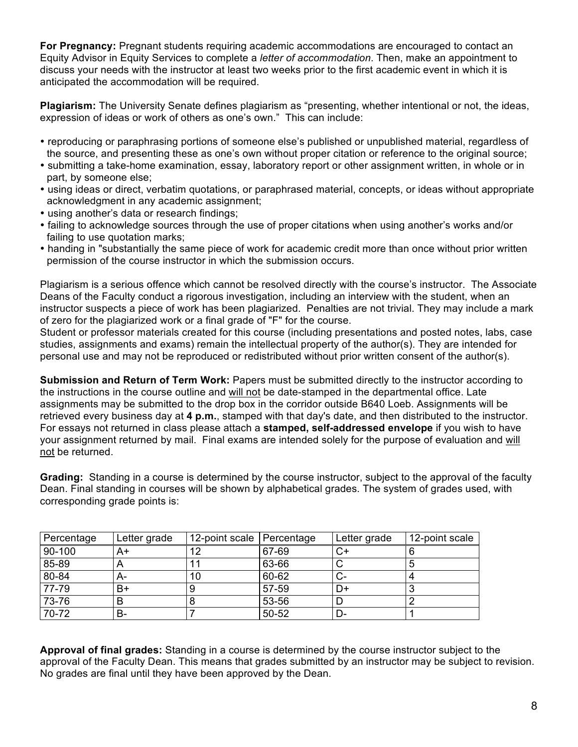**For Pregnancy:** Pregnant students requiring academic accommodations are encouraged to contact an Equity Advisor in Equity Services to complete a *letter of accommodation*. Then, make an appointment to discuss your needs with the instructor at least two weeks prior to the first academic event in which it is anticipated the accommodation will be required.

**Plagiarism:** The University Senate defines plagiarism as "presenting, whether intentional or not, the ideas, expression of ideas or work of others as one's own." This can include:

- reproducing or paraphrasing portions of someone else's published or unpublished material, regardless of the source, and presenting these as one's own without proper citation or reference to the original source;
- submitting a take-home examination, essay, laboratory report or other assignment written, in whole or in part, by someone else;
- using ideas or direct, verbatim quotations, or paraphrased material, concepts, or ideas without appropriate acknowledgment in any academic assignment;
- using another's data or research findings;
- failing to acknowledge sources through the use of proper citations when using another's works and/or failing to use quotation marks;
- handing in "substantially the same piece of work for academic credit more than once without prior written permission of the course instructor in which the submission occurs.

Plagiarism is a serious offence which cannot be resolved directly with the course's instructor. The Associate Deans of the Faculty conduct a rigorous investigation, including an interview with the student, when an instructor suspects a piece of work has been plagiarized. Penalties are not trivial. They may include a mark of zero for the plagiarized work or a final grade of "F" for the course.

Student or professor materials created for this course (including presentations and posted notes, labs, case studies, assignments and exams) remain the intellectual property of the author(s). They are intended for personal use and may not be reproduced or redistributed without prior written consent of the author(s).

**Submission and Return of Term Work:** Papers must be submitted directly to the instructor according to the instructions in the course outline and will not be date-stamped in the departmental office. Late assignments may be submitted to the drop box in the corridor outside B640 Loeb. Assignments will be retrieved every business day at **4 p.m.**, stamped with that day's date, and then distributed to the instructor. For essays not returned in class please attach a **stamped, self-addressed envelope** if you wish to have your assignment returned by mail. Final exams are intended solely for the purpose of evaluation and will not be returned.

**Grading:** Standing in a course is determined by the course instructor, subject to the approval of the faculty Dean. Final standing in courses will be shown by alphabetical grades. The system of grades used, with corresponding grade points is:

| Percentage | Letter grade | 12-point scale    Percentage |       | Letter grade | 12-point scale |
|------------|--------------|------------------------------|-------|--------------|----------------|
| 90-100     | A+           | 12                           | 67-69 | ◡            |                |
| 85-89      |              |                              | 63-66 |              |                |
| 80-84      | A-           | 10                           | 60-62 | v-           |                |
| 77-79      | B+           |                              | 57-59 | D+           |                |
| 73-76      |              |                              | 53-56 |              |                |
| 70-72      | В-           |                              | 50-52 | D-           |                |

**Approval of final grades:** Standing in a course is determined by the course instructor subject to the approval of the Faculty Dean. This means that grades submitted by an instructor may be subject to revision. No grades are final until they have been approved by the Dean.